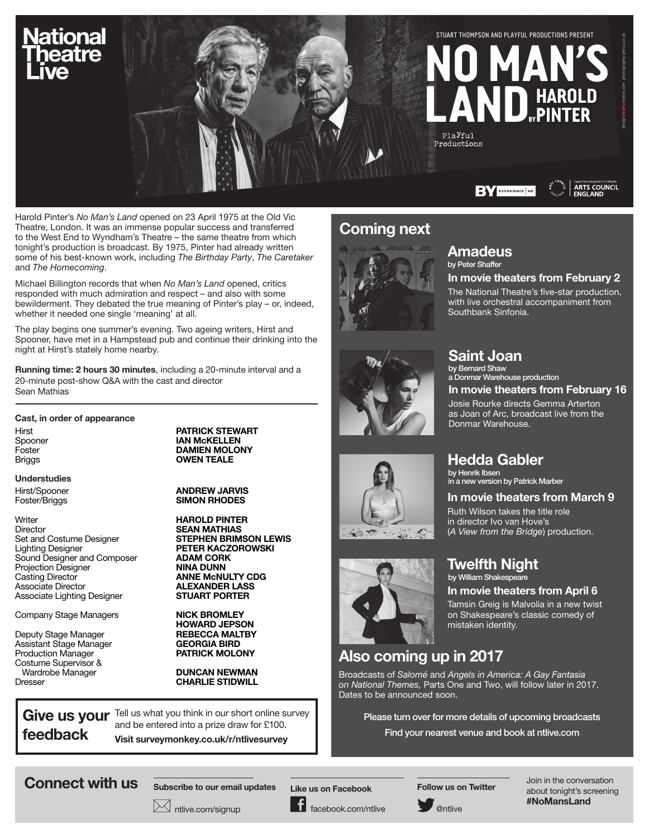

Harold Pinter's *No Man's Land* opened on 23 April 1975 at the Old Vic Theatre, London. It was an immense popular success and transferred to the West End to Wyndham's Theatre – the same theatre from which tonight's production is broadcast. By 1975, Pinter had already written some of his best-known work, including *The Birthday Party*, *The Caretaker*  and *The Homecoming*.

Michael Billington records that when *No Man's Land* opened, critics responded with much admiration and respect – and also with some bewilderment. They debated the true meaning of Pinter's play – or, indeed, whether it needed one single 'meaning' at all.

The play begins one summer's evening. Two ageing writers, Hirst and Spooner, have met in a Hampstead pub and continue their drinking into the night at Hirst's stately home nearby.

Running time: 2 hours 30 minutes, including a 20-minute interval and a 20-minute post-show Q&A with the cast and director Sean Mathias

#### Cast, in order of appearance

Understudies

Writer **HAROLD PINTER**<br>Director **SEAN MATHIAS** Director **SEAN MATHIAS**<br>
Set and Costume Designer
S**TEPHEN BRIM** Set and Costume Designer **STEPHEN BRIMSON LEWIS**<br>
Lighting Designer **STEPHEN BRIMSON PETER KACZOROWSKI** Sound Designer and Composer<br>
Projection Designer<br>
Projection Designer Projection Designer<br>Casting Director Casting Director **ANNE McNULTY CDG**<br>
Associate Director **ALEXANDER LASS** Associate Lighting Designer

Company Stage Managers NICK BROMLEY

Deputy Stage Manager Assistant Stage Manager **GEORGIA BIRD**<br>Production Manager **GEORGIA BIRD PATRICK MOLONY** Production Manager Costume Supervisor & Wardrobe Manager **DUNCAN NEWMAN**<br>Dresser **CHARLIE STIDWILL** 

Hirst **PATRICK STEWART** Spooner **IAN McKELLEN**<br>Foster **INCOLLEN MCCOLLEN DAMIEN MOLO** DAMIEN MOLONY Briggs **OWEN TEALE** 

Hirst/Spooner **ANDREW JARVIS**<br>Foster/Briggs **CONTREY SIMON RHODES** SIMON RHODES

> PETER KACZOROWSKI<br>ADAM CORK **ALEXANDER LASS<br>STUART PORTER**

HOWARD JEPSON<br>REBECCA MALTBY

**CHARLIE STIDWILL** 

feedback

Give us your Tell us what you think in our short online survey and be entered into a prize draw for £100. Visit surveymonkey.co.uk/r/ntlivesurvey

**X** ntlive.com/signup

# **Coming next**





SO TO STATE

#### Amadeus by Peter Shaffer

In movie theaters from February 2

The National Theatre's five-star production, with live orchestral accompaniment from Southbank Sinfonia.

# Saint Joan

by Bernard Shaw a Donmar Warehouse production

In movie theaters from February 16

Josie Rourke directs Gemma Arterton as Joan of Arc, broadcast live from the Donmar Warehouse.

# Hedda Gabler

by Henrik Ibsen in a new version by Patrick Marber

## In movie theaters from March 9

Ruth Wilson takes the title role in director Ivo van Hove's (*A View from the Bridge*) production.



## In movie theaters from April 6

Tamsin Greig is Malvolia in a new twist on Shakespeare's classic comedy of mistaken identity.

# Also coming up in 2017

Broadcasts of *Salomé* and *Angels in America: A Gay Fantasia on National Themes,* Parts One and Two, will follow later in 2017. Dates to be announced soon.

Please turn over for more details of upcoming broadcasts Find your nearest venue and book at ntlive.com

Connect with us subscribe to our email undates Like us on Eachboals Follow us on Twitter Join in the conversation

Subscribe to our email updates

Like us on Facebook

facebook.com/ntlive

Follow us on Twitter



about tonight's screening #NoMansLand